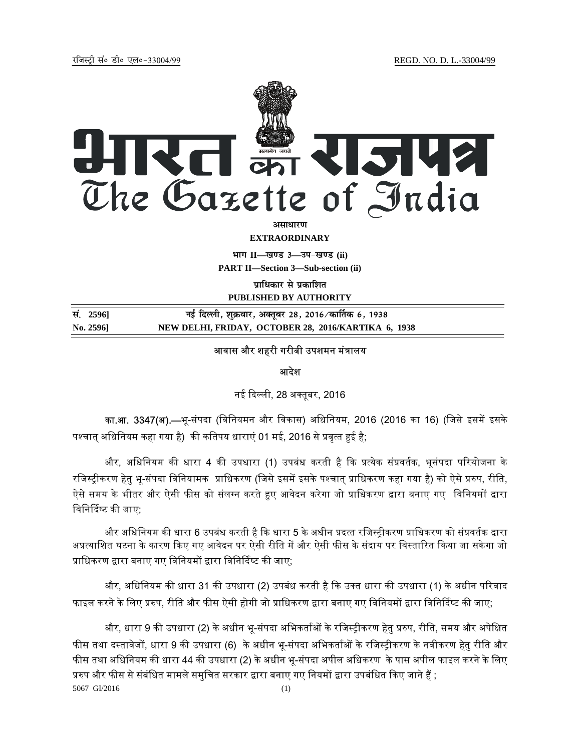

**EXTRAORDINARY**

**Hkkx II—[k.M 3—mi&[k.M (ii) PART II—Section 3—Sub-section (ii)** 

**पाधिकार से प्रकाशित PUBLISHED BY AUTHORITY**

**la- 2596] ubZ fnYyh] 'kqØokj] vDrwcj 28] 2016@dk£rd 6] 1938 No. 2596] NEW DELHI, FRIDAY, OCTOBER 28, 2016/KARTIKA 6, 1938**

## आवास और शहरी गरीबी उपशमन मंत्रालय

आदेश

नई दिल्ली, 28 अक्तुबर, 2016

<mark>का.आ. 3347(अ).—</mark>भू-संपदा (विनियमन और विकास) अधिनियम, 2016 (2016 का 16) (जिसे इसमें इसके पश्चात अधिनियम कहा गया है) की कतिपय धाराएं 01 मई, 2016 से प्रवृत्त हुई है;

और, अधिनियम की धारा 4 की उपधारा (1) उपबंध करती है कि प्रत्येक संप्रवर्तक, भूसंपदा परियोजना के रजिस्ट्रीकरण हेतु भू-संपदा विनियामक प्राधिकरण (जिसे इसमें इसके पश्चात् प्राधिकरण कहा गया है) को ऐसे प्ररुप, रीति, ऐसे समय के भीतर और ऐसी फीस को संलग्न करते हुए आवेदन करेगा जो प्राधिकरण द्वारा बनाए गए विनियमों द्वारा विनिर्दिष्ट की जाए:

और अधिनियम की धारा 6 उपबंध करती है कि धारा 5 के अधीन प्रदत्त रजिस्टीकरण प्राधिकरण को संप्रवर्तक द्वारा अप्रत्याशित घटना के कारण किए गए आवेदन पर ऐसी रीति में और ऐसी फीस के संदाय पर विस्तारित किया जा सकेगा जो प्राधिकरण द्वारा बनाए गए विनियमों द्वारा विनिर्दिष्ट की जाए;

और, अधिनियम की धारा 31 की उपधारा (2) उपबंध करती है कि उक्त धारा की उपधारा (1) के अधीन परिवाद फाइल करने के लिए प्ररुप, रीति और फीस ऐसी होगी जो प्राधिकरण द्वारा बनाए गए विनियमों द्वारा विनिर्दिष्ट की जाए;

5067 GI/2016 (1) और, धारा 9 की उपधारा (2) के अधीन भू-संपदा अभिकर्ताओं के रजिस्ट्रीकरण हेतु प्ररुप, रीति, समय और अपेक्षित फीस तथा दस्तावेजों, धारा 9 की उपधारा (6) के अधीन भू-संपदा अभिकर्ताओं के रजिस्ट्रीकरण के नवीकरण हेतु रीति और फीस तथा अधिनियम की धारा 44 की उपधारा (2) के अधीन भू-संपदा अपील अधिकरण के पास अपील फाइल करने के लिए प्ररुप और फीस से संबंधित मामले समुचित सरकार द्वारा बनाए गए नियमों द्वारा उपबंधित किए जाने हैं ;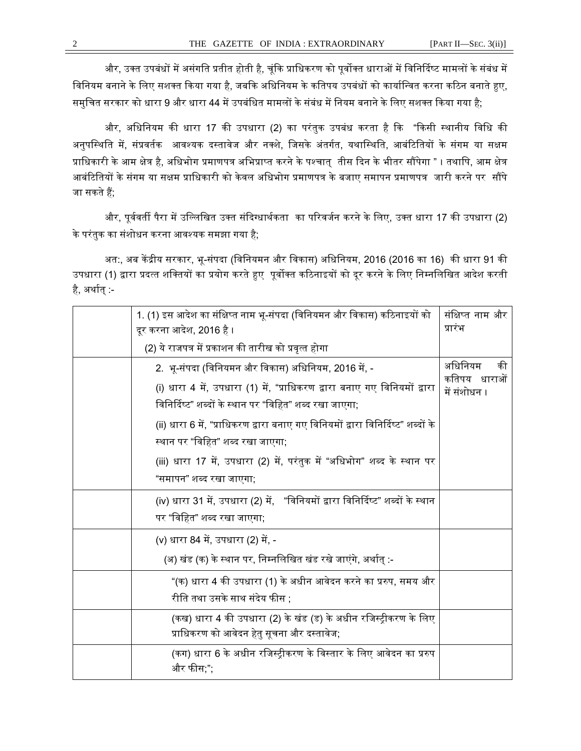और, उक्त उपबंधों में असंगति प्रतीत होती है, चूंकि प्राधिकरण को पूर्वोक्त धाराओं में विनिर्दिष्ट मामलों के संबंध में विनियम बनाने के लिए सशक्त किया गया है, जबकि अधिनियम के कतिपय उपबंधों को कार्यान्वित करना कठिन बनाते हुए, समुचित सरकार को धारा 9 और धारा 44 में उपबंधित मामलों के संबंध में नियम बनाने के लिए सशक्त किया गया है;

और, अधिनियम की धारा 17 की उपधारा (2) का परंतुक उपबंध करता है कि "किसी स्थानीय विधि की अनुपस्थिति में, संप्रवर्तक आवश्यक दस्तावेज और नक्शे, जिसके अंतर्गत, यथास्थिति, आबंटितियों के संगम या सक्षम प्राधिकारी के आम क्षेत्र है, अधिभोग प्रमाणपत्र अभिप्राप्त करने के पश्चात् तीस दिन के भीतर सौंपेगा " । तथापि, आम क्षेत्र आबंटितियों के संगम या सक्षम प्राधिकारी को केवल अधिभोग प्रमाणपत्र के बजाए समापन प्रमाणपत्र जारी करने पर सौंपे जा सकते हैं:

और, पूर्ववर्ती पैरा में उल्लिखित उक्त संदिग्धार्थकता का परिवर्जन करने के लिए, उक्त धारा 17 की उपधारा (2) के परंतुक का संशोधन करना आवश्यक समझा गया है;

अत:, अब केंद्रीय सरकार, भू-संपदा (विनियमन और विकास) अधिनियम, 2016 (2016 का 16) की धारा 91 की उपधारा (1) द्वारा प्रदत्त शक्तियों का प्रयोग करते हुए पूर्वोक्त कठिनाइयों को दूर करने के लिए निम्नलिखित आदेश करती है, अर्थात $:$ 

| 1. (1) इस आदेश का संक्षिप्त नाम भू-संपदा (विनियमन और विकास) कठिनाइयों को<br>दूर करना आदेश, 2016 है ।                                                                                         | संक्षिप्त नाम और<br>प्रारंभ                   |
|----------------------------------------------------------------------------------------------------------------------------------------------------------------------------------------------|-----------------------------------------------|
| (2) ये राजपत्र में प्रकाशन की तारीख को प्रवृत्त होगा                                                                                                                                         |                                               |
| 2.  भू-संपदा (विनियमन और विकास) अधिनियम, 2016 में, -<br>(i) धारा 4 में, उपधारा (1) में, "प्राधिकरण द्वारा बनाए गए विनियमों द्वारा<br>विनिर्दिष्ट" शब्दों के स्थान पर "विहित" शब्द रखा जाएगा; | अधिनियम<br>की<br>कतिपय धाराओं<br>में संशोधन । |
| (ii) धारा 6 में, "प्राधिकरण द्वारा बनाए गए विनियमों द्वारा विनिर्दिष्ट" शब्दों के<br>स्थान पर "विहित" शब्द रखा जाएगा;                                                                        |                                               |
| (iii) धारा 17 में, उपधारा (2) में, परंतुक में "अधिभोग" शब्द के स्थान पर<br>"समापन" शब्द रखा जाएगा;                                                                                           |                                               |
| (iv) धारा 31 में, उपधारा (2) में, "विनियमों द्वारा विनिर्दिष्ट" शब्दों के स्थान<br>पर "विहित" शब्द रखा जाएगा;                                                                                |                                               |
| (v) धारा 84 में, उपधारा (2) में, -<br>(अ) खंड (क) के स्थान पर, निम्नलिखित खंड रखे जाएंगे, अर्थात् :-                                                                                         |                                               |
| "(क) धारा 4 की उपधारा (1) के अधीन आवेदन करने का प्ररुप, समय और<br>रीति तथा उसके साथ संदेय फीस ;                                                                                              |                                               |
| (कख) धारा 4 की उपधारा (2) के खंड (ड) के अधीन रजिस्ट्रीकरण के लिए<br>प्राधिकरण को आवेदन हेतु सूचना और दस्तावेज;                                                                               |                                               |
| (कग) धारा 6 के अधीन रजिस्ट्रीकरण के विस्तार के लिए आवेदन का प्ररुप<br>और फीस;";                                                                                                              |                                               |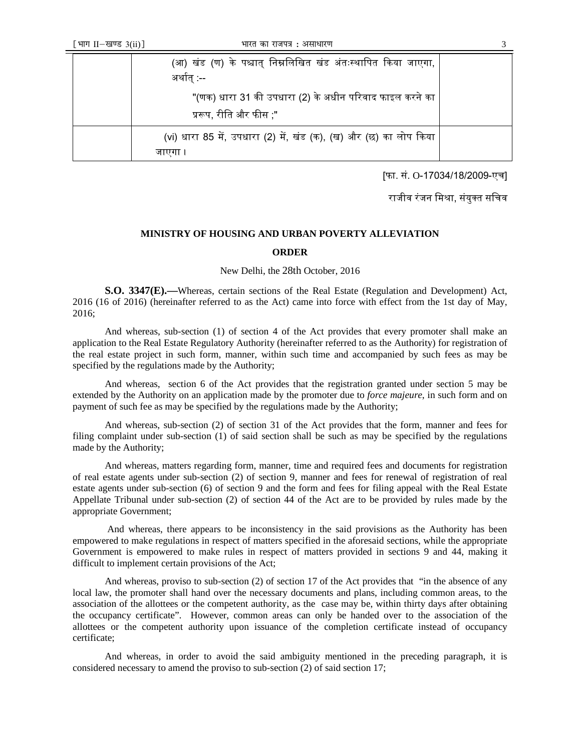| (आ) खंड (ण) के पश्चात् निम्नलिखित खंड अंतःस्थापित किया जाएगा,<br>अर्थात् :--      |  |
|-----------------------------------------------------------------------------------|--|
| "(णक) धारा 31 की उपधारा (2) के अधीन परिवाद फाइल करने का<br>प्ररूप, रीति और फीस ;" |  |
| (vi) धारा 85 में, उपधारा (2) में, खंड (क), (ख) और (छ) का लोप किया                 |  |

[फा. सं. O-17034/18/2009-एच]

राजीव रंजन मिश्रा, संयुक्त सचिव

## **MINISTRY OF HOUSING AND URBAN POVERTY ALLEVIATION**

## **ORDER**

New Delhi, the 28th October, 2016

**S.O. 3347(E).––**Whereas, certain sections of the Real Estate (Regulation and Development) Act, 2016 (16 of 2016) (hereinafter referred to as the Act) came into force with effect from the 1st day of May, 2016;

And whereas, sub-section (1) of section 4 of the Act provides that every promoter shall make an application to the Real Estate Regulatory Authority (hereinafter referred to as the Authority) for registration of the real estate project in such form, manner, within such time and accompanied by such fees as may be specified by the regulations made by the Authority;

And whereas, section 6 of the Act provides that the registration granted under section 5 may be extended by the Authority on an application made by the promoter due to *force majeure*, in such form and on payment of such fee as may be specified by the regulations made by the Authority;

And whereas, sub-section (2) of section 31 of the Act provides that the form, manner and fees for filing complaint under sub-section (1) of said section shall be such as may be specified by the regulations made by the Authority;

And whereas, matters regarding form, manner, time and required fees and documents for registration of real estate agents under sub-section (2) of section 9, manner and fees for renewal of registration of real estate agents under sub-section (6) of section 9 and the form and fees for filing appeal with the Real Estate Appellate Tribunal under sub-section (2) of section 44 of the Act are to be provided by rules made by the appropriate Government;

 And whereas, there appears to be inconsistency in the said provisions as the Authority has been empowered to make regulations in respect of matters specified in the aforesaid sections, while the appropriate Government is empowered to make rules in respect of matters provided in sections 9 and 44, making it difficult to implement certain provisions of the Act;

And whereas, proviso to sub-section (2) of section 17 of the Act provides that "in the absence of any local law, the promoter shall hand over the necessary documents and plans, including common areas, to the association of the allottees or the competent authority, as the case may be, within thirty days after obtaining the occupancy certificate". However, common areas can only be handed over to the association of the allottees or the competent authority upon issuance of the completion certificate instead of occupancy certificate;

And whereas, in order to avoid the said ambiguity mentioned in the preceding paragraph, it is considered necessary to amend the proviso to sub-section (2) of said section 17;